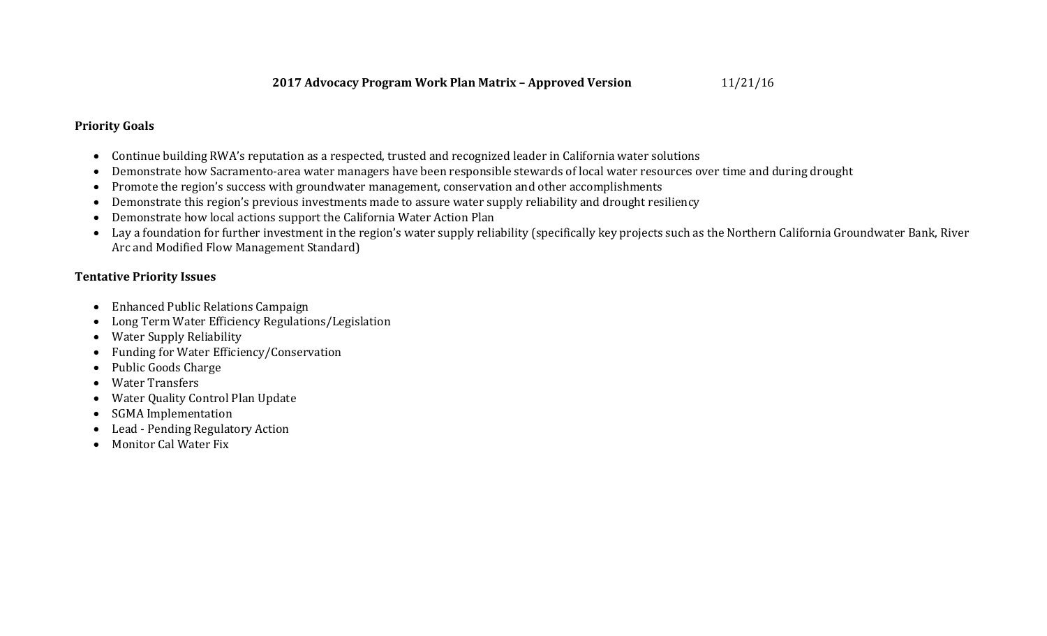## **Priority Goals**

- Continue building RWA's reputation as a respected, trusted and recognized leader in California water solutions
- Demonstrate how Sacramento-area water managers have been responsible stewards of local water resources over time and during drought
- Promote the region's success with groundwater management, conservation and other accomplishments
- Demonstrate this region's previous investments made to assure water supply reliability and drought resiliency
- Demonstrate how local actions support the California Water Action Plan
- Lay a foundation for further investment in the region's water supply reliability (specifically key projects such as the Northern California Groundwater Bank, River Arc and Modified Flow Management Standard)

## **Tentative Priority Issues**

- Enhanced Public Relations Campaign
- Long Term Water Efficiency Regulations/Legislation
- Water Supply Reliability
- Funding for Water Efficiency/Conservation
- Public Goods Charge
- Water Transfers
- Water Quality Control Plan Update
- SGMA Implementation
- Lead Pending Regulatory Action
- Monitor Cal Water Fix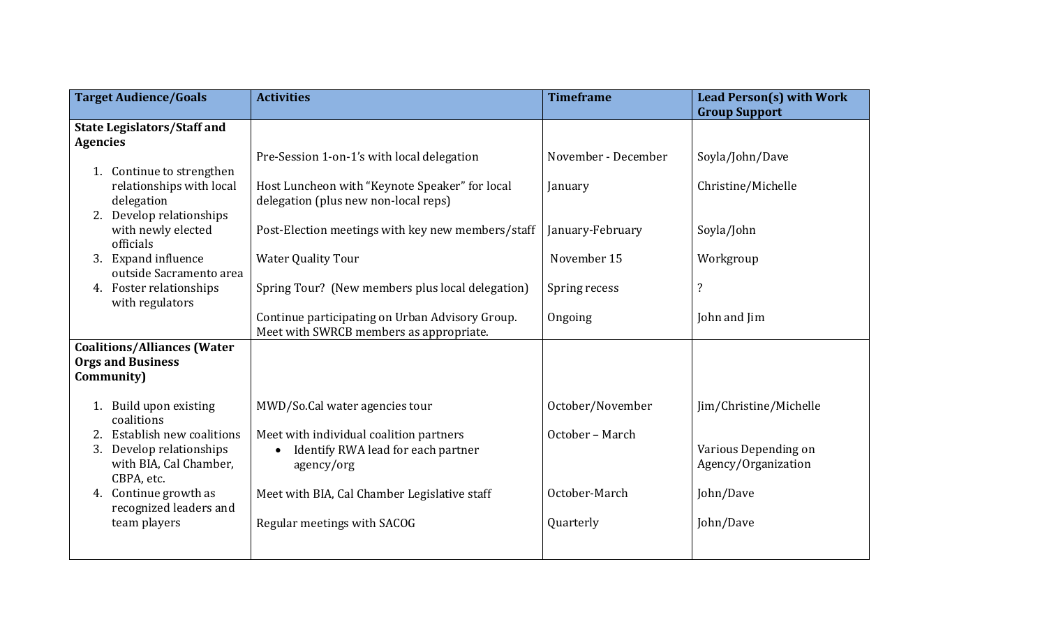| <b>Target Audience/Goals</b>                    | <b>Activities</b>                                 | <b>Timeframe</b>    | Lead Person(s) with Work |
|-------------------------------------------------|---------------------------------------------------|---------------------|--------------------------|
|                                                 |                                                   |                     | <b>Group Support</b>     |
| <b>State Legislators/Staff and</b>              |                                                   |                     |                          |
| <b>Agencies</b>                                 |                                                   |                     |                          |
|                                                 | Pre-Session 1-on-1's with local delegation        | November - December | Soyla/John/Dave          |
| 1. Continue to strengthen                       |                                                   |                     |                          |
| relationships with local                        | Host Luncheon with "Keynote Speaker" for local    | January             | Christine/Michelle       |
| delegation                                      | delegation (plus new non-local reps)              |                     |                          |
| 2. Develop relationships                        |                                                   |                     |                          |
| with newly elected                              | Post-Election meetings with key new members/staff | January-February    | Soyla/John               |
| officials                                       |                                                   |                     |                          |
| Expand influence<br>3.                          | <b>Water Quality Tour</b>                         | November 15         | Workgroup                |
| outside Sacramento area                         |                                                   |                     |                          |
| 4. Foster relationships                         | Spring Tour? (New members plus local delegation)  | Spring recess       | $\overline{\cdot}$       |
| with regulators                                 |                                                   |                     |                          |
|                                                 | Continue participating on Urban Advisory Group.   | Ongoing             | John and Jim             |
|                                                 | Meet with SWRCB members as appropriate.           |                     |                          |
| <b>Coalitions/Alliances (Water</b>              |                                                   |                     |                          |
| <b>Orgs and Business</b>                        |                                                   |                     |                          |
| Community)                                      |                                                   |                     |                          |
|                                                 |                                                   |                     |                          |
| 1. Build upon existing                          | MWD/So.Cal water agencies tour                    | October/November    | Jim/Christine/Michelle   |
| coalitions                                      |                                                   |                     |                          |
| 2. Establish new coalitions                     | Meet with individual coalition partners           | October - March     |                          |
| Develop relationships<br>3.                     | Identify RWA lead for each partner<br>$\bullet$   |                     | Various Depending on     |
| with BIA, Cal Chamber,                          | agency/org                                        |                     | Agency/Organization      |
| CBPA, etc.                                      |                                                   | October-March       |                          |
| 4. Continue growth as<br>recognized leaders and | Meet with BIA, Cal Chamber Legislative staff      |                     | John/Dave                |
| team players                                    |                                                   | Quarterly           | John/Dave                |
|                                                 | Regular meetings with SACOG                       |                     |                          |
|                                                 |                                                   |                     |                          |
|                                                 |                                                   |                     |                          |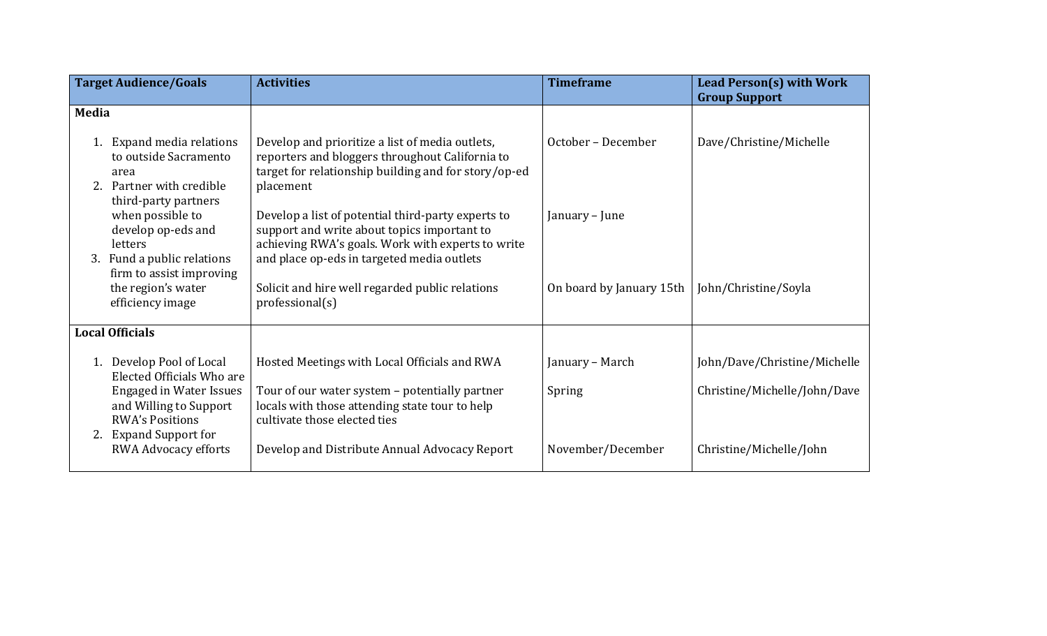|       | <b>Target Audience/Goals</b>                                                                                   | <b>Activities</b>                                                                                                                                                                                    | <b>Timeframe</b>         | <b>Lead Person(s) with Work</b><br><b>Group Support</b> |
|-------|----------------------------------------------------------------------------------------------------------------|------------------------------------------------------------------------------------------------------------------------------------------------------------------------------------------------------|--------------------------|---------------------------------------------------------|
| Media |                                                                                                                |                                                                                                                                                                                                      |                          |                                                         |
|       | 1. Expand media relations<br>to outside Sacramento<br>area<br>2. Partner with credible<br>third-party partners | Develop and prioritize a list of media outlets,<br>reporters and bloggers throughout California to<br>target for relationship building and for story/op-ed<br>placement                              | October - December       | Dave/Christine/Michelle                                 |
|       | when possible to<br>develop op-eds and<br>letters<br>3. Fund a public relations<br>firm to assist improving    | Develop a list of potential third-party experts to<br>support and write about topics important to<br>achieving RWA's goals. Work with experts to write<br>and place op-eds in targeted media outlets | January – June           |                                                         |
|       | the region's water<br>efficiency image                                                                         | Solicit and hire well regarded public relations<br>professional(s)                                                                                                                                   | On board by January 15th | John/Christine/Soyla                                    |
|       | <b>Local Officials</b>                                                                                         |                                                                                                                                                                                                      |                          |                                                         |
|       | 1. Develop Pool of Local<br>Elected Officials Who are                                                          | Hosted Meetings with Local Officials and RWA                                                                                                                                                         | January – March          | John/Dave/Christine/Michelle                            |
|       | <b>Engaged in Water Issues</b><br>and Willing to Support<br><b>RWA's Positions</b><br>2. Expand Support for    | Tour of our water system - potentially partner<br>locals with those attending state tour to help<br>cultivate those elected ties                                                                     | Spring                   | Christine/Michelle/John/Dave                            |
|       | <b>RWA Advocacy efforts</b>                                                                                    | Develop and Distribute Annual Advocacy Report                                                                                                                                                        | November/December        | Christine/Michelle/John                                 |